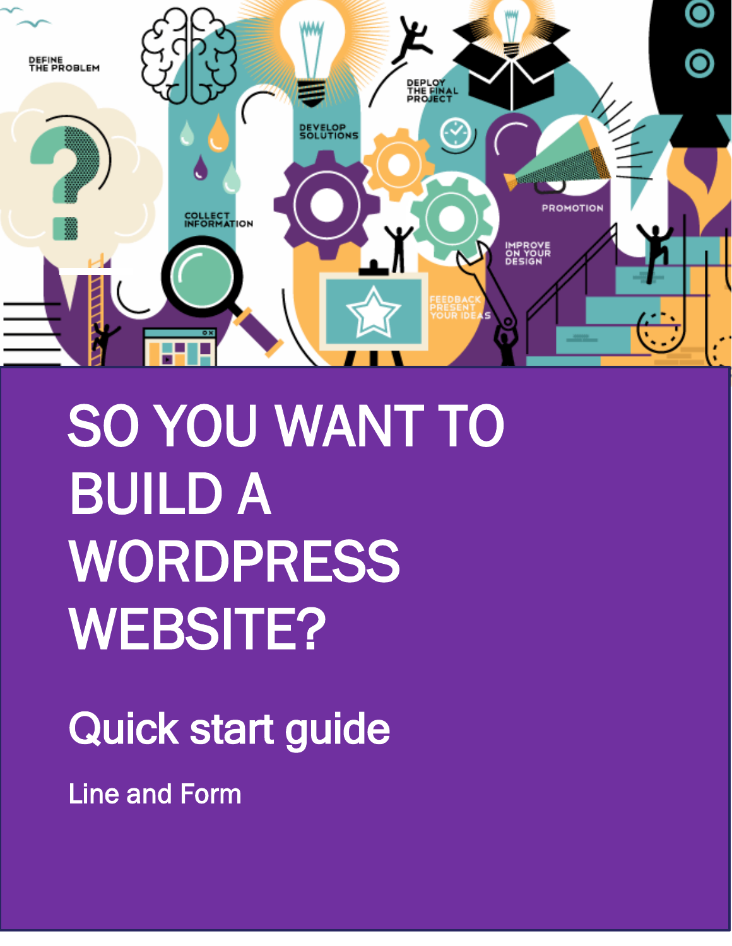

1

# SO YOU WANT TO BUILD A WORDPRESS WEBSITE?

## Quick start guide

Line and Form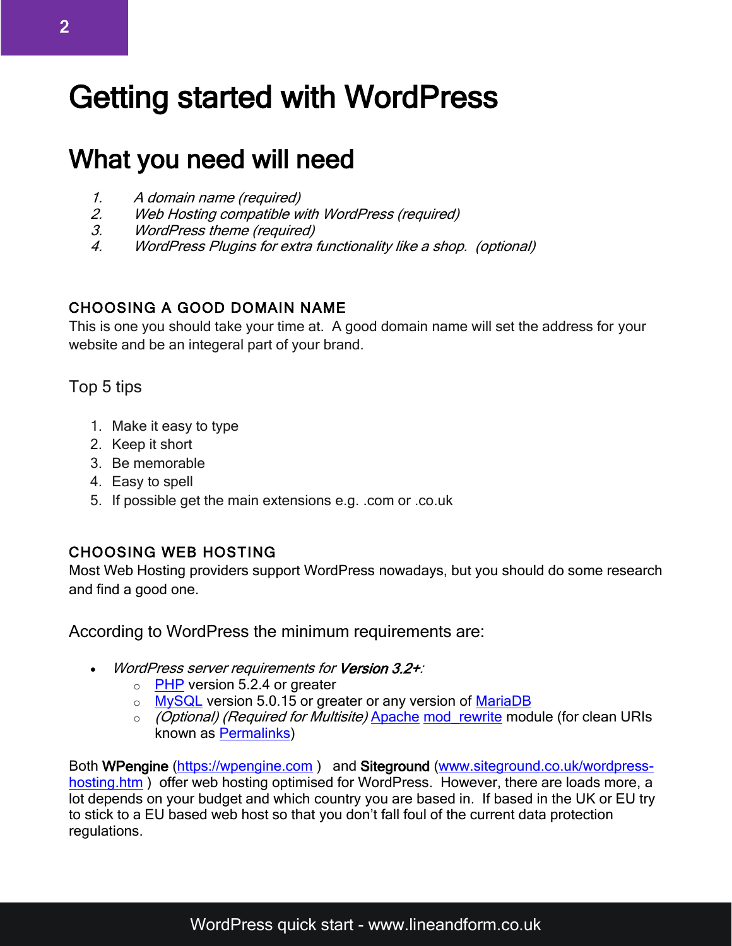### Getting started with WordPress

### What you need will need

- 
- 1. A domain name (required)<br>2. Web Hosting compatible w 2. Web Hosting compatible with WordPress (required)<br>3. WordPress theme (required)
- 3. WordPress theme (required)<br>4. WordPress Pluains for extra
- WordPress Plugins for extra functionality like a shop. (optional)

#### CHOOSING A GOOD DOMAIN NAME

This is one you should take your time at. A good domain name will set the address for your website and be an integeral part of your brand.

#### Top 5 tips

- 1. Make it easy to type
- 2. Keep it short
- 3. Be memorable
- 4. Easy to spell
- 5. If possible get the main extensions e.g. .com or .co.uk

#### CHOOSING WEB HOSTING

Most Web Hosting providers support WordPress nowadays, but you should do some research and find a good one.

According to WordPress the minimum requirements are:

- WordPress server requirements for Version 3.2+:
	- $\circ$  [PHP](https://codex.wordpress.org/Glossary#PHP) version 5.2.4 or greater
	- o [MySQL](https://codex.wordpress.org/Glossary#MySQL) version 5.0.15 or greater or any version of [MariaDB](https://codex.wordpress.org/Glossary#MariaDB)
	- o *(Optional) (Required for Multisite)* [Apache](https://codex.wordpress.org/Glossary#Apache) mod rewrite module (for clean URIs known as [Permalinks\)](https://codex.wordpress.org/Using_Permalinks)

Both WPengine [\(https://wpengine.com](https://wpengine.com/)) and Siteground [\(www.siteground.co.uk/wordpress](http://www.siteground.co.uk/wordpress-hosting.htm)[hosting.htm](http://www.siteground.co.uk/wordpress-hosting.htm) ) offer web hosting optimised for WordPress. However, there are loads more, a lot depends on your budget and which country you are based in. If based in the UK or EU try to stick to a EU based web host so that you don't fall foul of the current data protection regulations.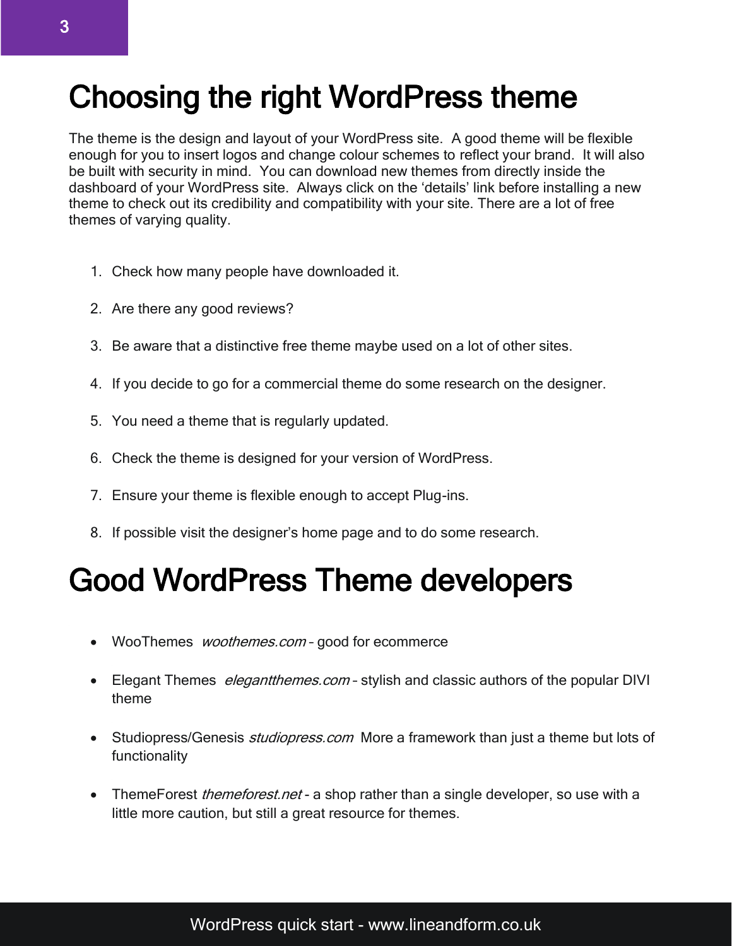### Choosing the right WordPress theme

The theme is the design and layout of your WordPress site. A good theme will be flexible enough for you to insert logos and change colour schemes to reflect your brand. It will also be built with security in mind. You can download new themes from directly inside the dashboard of your WordPress site. Always click on the 'details' link before installing a new theme to check out its credibility and compatibility with your site. There are a lot of free themes of varying quality.

- 1. Check how many people have downloaded it.
- 2. Are there any good reviews?
- 3. Be aware that a distinctive free theme maybe used on a lot of other sites.
- 4. If you decide to go for a commercial theme do some research on the designer.
- 5. You need a theme that is regularly updated.
- 6. Check the theme is designed for your version of WordPress.
- 7. Ensure your theme is flexible enough to accept Plug-ins.
- 8. If possible visit the designer's home page and to do some research.

### Good WordPress Theme developers

- WooThemes *woothemes.com* good for ecommerce
- Elegant Themes *elegantthemes.com* stylish and classic authors of the popular DIVI theme
- Studiopress/Genesis *studiopress.com* More a framework than just a theme but lots of functionality
- ThemeForest *themeforest net* a shop rather than a single developer, so use with a little more caution, but still a great resource for themes.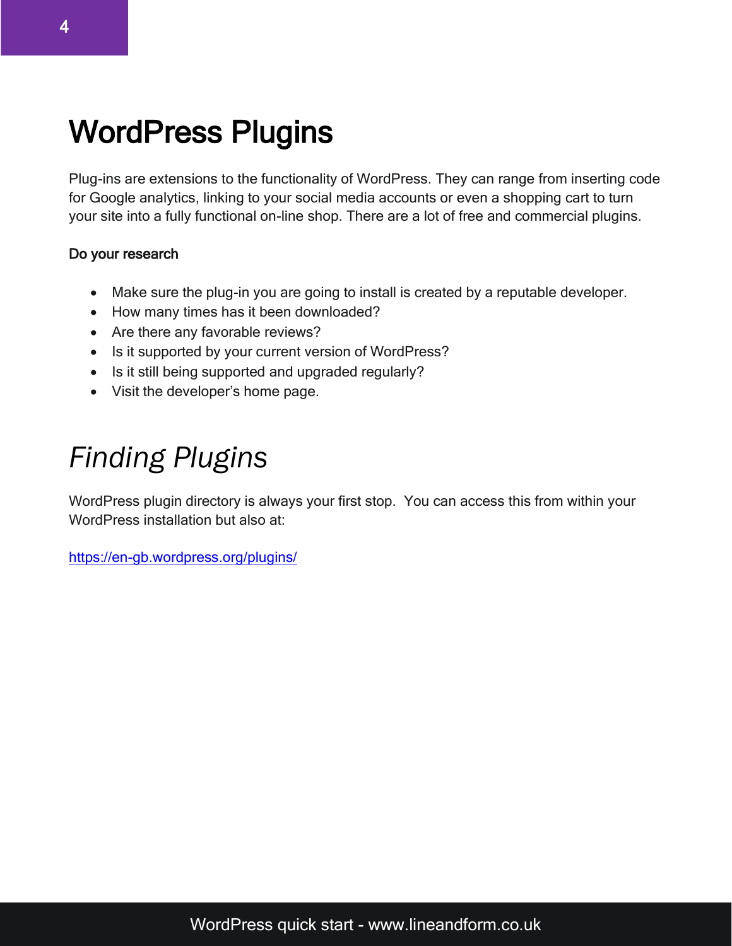### WordPress Plugins

Plug-ins are extensions to the functionality of WordPress. They can range from inserting code for Google analytics, linking to your social media accounts or even a shopping cart to turn your site into a fully functional on-line shop. There are a lot of free and commercial plugins.

#### Do your research

- Make sure the plug-in you are going to install is created by a reputable developer.
- How many times has it been downloaded?
- Are there any favorable reviews?
- Is it supported by your current version of WordPress?
- Is it still being supported and upgraded regularly?
- Visit the developer's home page.

### *Finding Plugins*

WordPress plugin directory is always your first stop. You can access this from within your WordPress installation but also at:

<https://en-gb.wordpress.org/plugins/>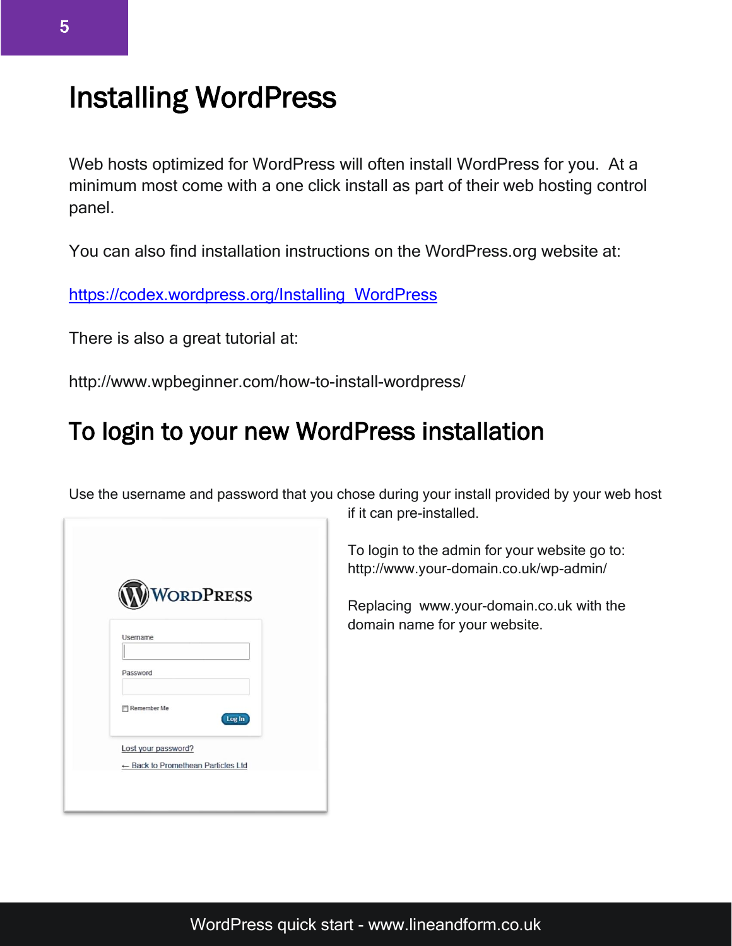### Installing WordPress

Web hosts optimized for WordPress will often install WordPress for you. At a minimum most come with a one click install as part of their web hosting control panel.

You can also find installation instructions on the WordPress.org website at:

[https://codex.wordpress.org/Installing\\_WordPress](https://codex.wordpress.org/Installing_WordPress)

There is also a great tutorial at:

http://www.wpbeginner.com/how-to-install-wordpress/

### To login to your new WordPress installation

Use the username and password that you chose during your install provided by your web host

|                | <b>WORDPRESS</b>                   |        |
|----------------|------------------------------------|--------|
|                |                                    |        |
| <b>Usemame</b> |                                    |        |
| Password       |                                    |        |
| Remember Me    |                                    | Log In |
|                | Lost your password?                |        |
|                | ← Back to Promethean Particles Ltd |        |

if it can pre-installed.

To login to the admin for your website go to: http://www.your-domain.co.uk/wp-admin/

Replacing [www.your-domain.co.uk](http://www.your-domain.co.uk/) with the domain name for your website.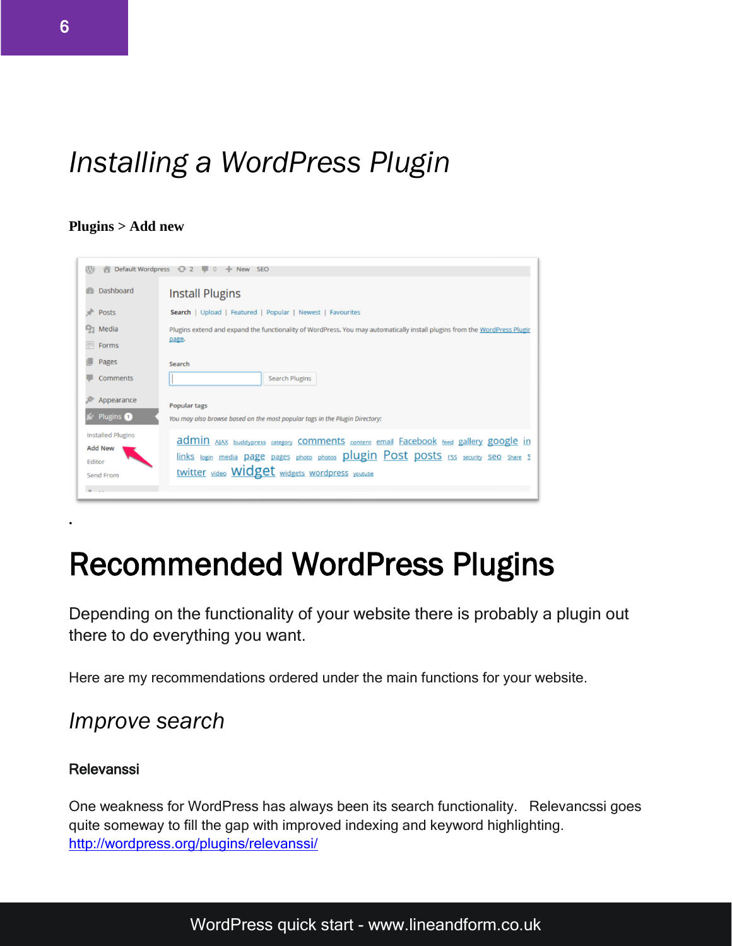### *Installing a WordPress Plugin*

#### **Plugins > Add new**



### Recommended WordPress Plugins

Depending on the functionality of your website there is probably a plugin out there to do everything you want.

Here are my recommendations ordered under the main functions for your website.

#### *Improve search*

#### [Relevanssi](http://wordpress.org/plugins/relevanssi/)

**.** 

One weakness for WordPress has always been its search functionality. Relevancssi goes quite someway to fill the gap with improved indexing and keyword highlighting. <http://wordpress.org/plugins/relevanssi/>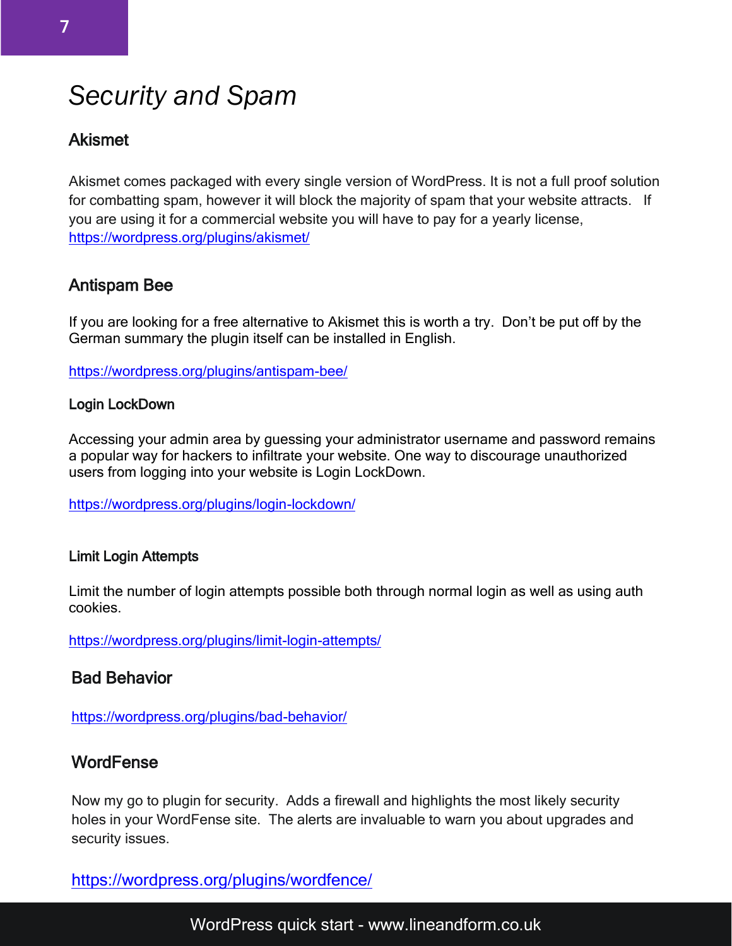### *Security and Spam*

#### Akismet

Akismet comes packaged with every single version of WordPress. It is not a full proof solution for combatting spam, however it will block the majority of spam that your website attracts. If you are using it for a commercial website you will have to pay for a yearly license, <https://wordpress.org/plugins/akismet/>

#### Antispam Bee

If you are looking for a free alternative to Akismet this is worth a try. Don't be put off by the German summary the plugin itself can be installed in English.

<https://wordpress.org/plugins/antispam-bee/>

#### [Login LockDown](http://wordpress.org/plugins/login-lockdown/)

Accessing your admin area by guessing your administrator username and password remains a popular way for hackers to infiltrate your website. One way to discourage unauthorized users from logging into your website is Login LockDown.

<https://wordpress.org/plugins/login-lockdown/>

#### Limit Login Attempts

Limit the number of login attempts possible both through normal login as well as using auth cookies.

<https://wordpress.org/plugins/limit-login-attempts/>

#### Bad Behavior

<https://wordpress.org/plugins/bad-behavior/>

#### **WordFense**

Now my go to plugin for security. Adds a firewall and highlights the most likely security holes in your WordFense site. The alerts are invaluable to warn you about upgrades and security issues.

<https://wordpress.org/plugins/wordfence/>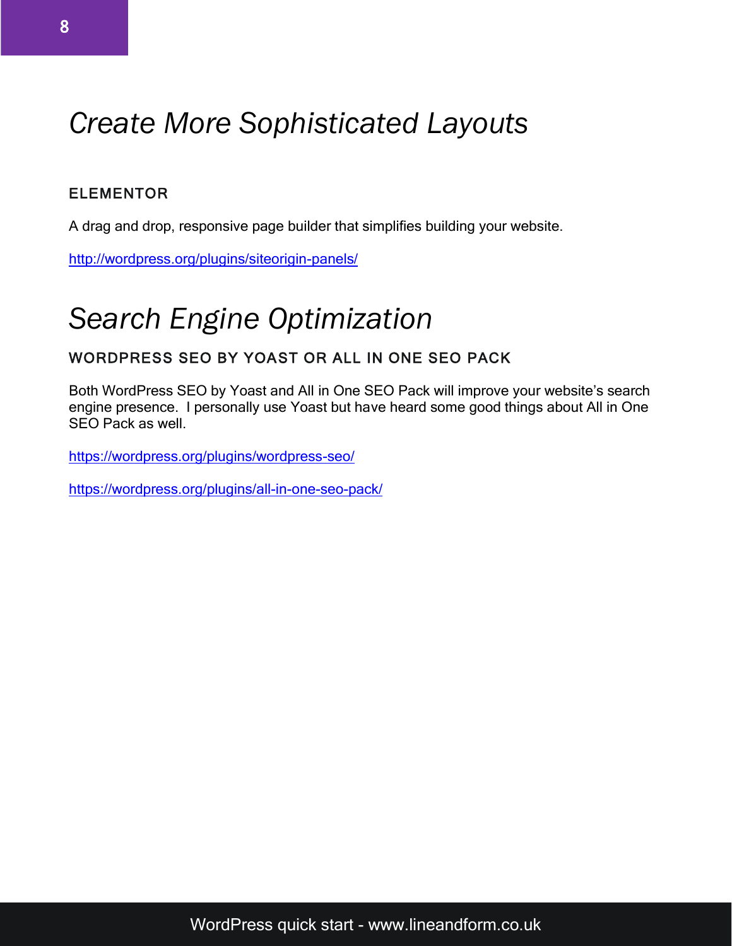### *Create More Sophisticated Layouts*

#### ELEMENTOR

A drag and drop, responsive page builder that simplifies building your website.

<http://wordpress.org/plugins/siteorigin-panels/>

### *Search Engine Optimization*

#### WORDPRESS SEO BY YOAST OR ALL IN ONE SEO PACK

Both WordPress SEO by Yoast and All in One SEO Pack will improve your website's search engine presence. I personally use Yoast but have heard some good things about All in One SEO Pack as well.

<https://wordpress.org/plugins/wordpress-seo/>

<https://wordpress.org/plugins/all-in-one-seo-pack/>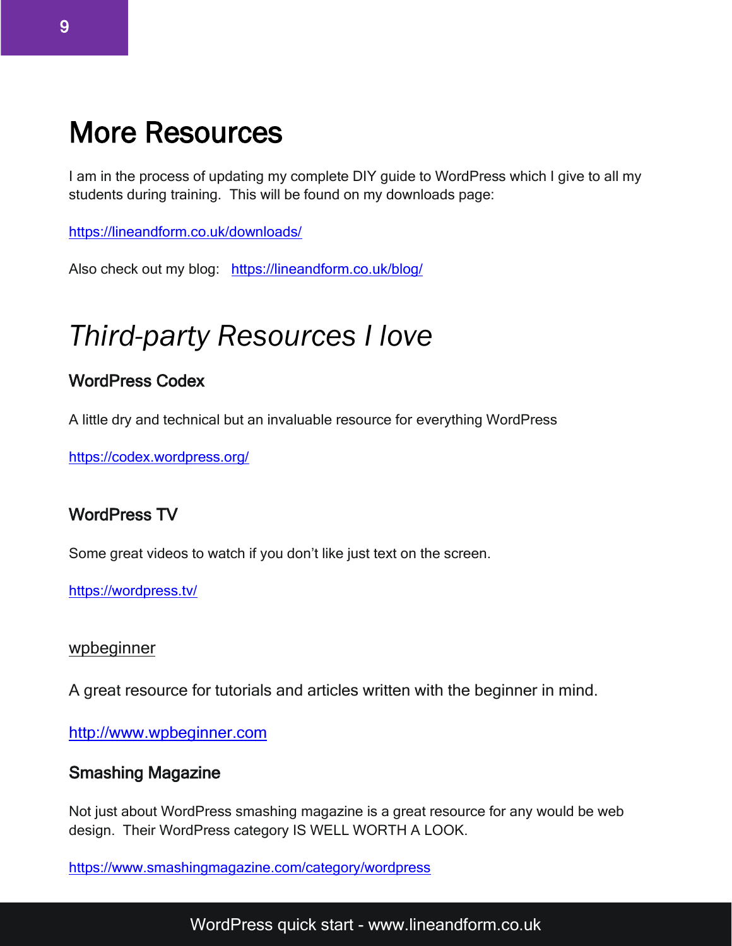### More Resources

I am in the process of updating my complete DIY guide to WordPress which I give to all my students during training. This will be found on my downloads page:

<https://lineandform.co.uk/downloads/>

Also check out my blog: <https://lineandform.co.uk/blog/>

### *Third-party Resources I love*

#### WordPress Codex

A little dry and technical but an invaluable resource for everything WordPress

<https://codex.wordpress.org/>

#### WordPress TV

Some great videos to watch if you don't like just text on the screen.

<https://wordpress.tv/>

#### [wpbeginner](http://www.wpbeginner.com/)

A great resource for tutorials and articles written with the beginner in mind.

[http://www.wpbeginner.com](http://www.wpbeginner.com/)

#### Smashing Magazine

Not just about WordPress smashing magazine is a great resource for any would be web design. Their WordPress category IS WELL WORTH A LOOK.

<https://www.smashingmagazine.com/category/wordpress>